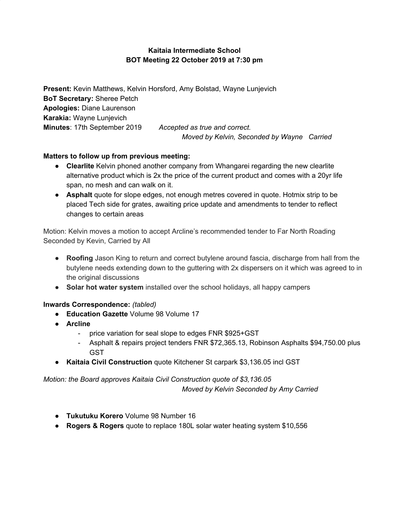## **Kaitaia Intermediate School BOT Meeting 22 October 2019 at 7:30 pm**

**Present:** Kevin Matthews, Kelvin Horsford, Amy Bolstad, Wayne Lunjevich **BoT Secretary:** Sheree Petch **Apologies:** Diane Laurenson **Karakia:** Wayne Lunjevich **Minutes**: 17th September 2019 *Accepted as true and correct. Moved by Kelvin, Seconded by Wayne Carried*

## **Matters to follow up from previous meeting:**

- **● Clearlite** Kelvin phoned another company from Whangarei regarding the new clearlite alternative product which is 2x the price of the current product and comes with a 20yr life span, no mesh and can walk on it.
- **● Asphalt** quote for slope edges, not enough metres covered in quote. Hotmix strip to be placed Tech side for grates, awaiting price update and amendments to tender to reflect changes to certain areas

Motion: Kelvin moves a motion to accept Arcline's recommended tender to Far North Roading Seconded by Kevin, Carried by All

- **● Roofing** Jason King to return and correct butylene around fascia, discharge from hall from the butylene needs extending down to the guttering with 2x dispersers on it which was agreed to in the original discussions
- **● Solar hot water system** installed over the school holidays, all happy campers

### **Inwards Correspondence:** *(tabled)*

- **● Education Gazette** Volume 98 Volume 17
- **● Arcline**
	- price variation for seal slope to edges FNR \$925+GST
	- Asphalt & repairs project tenders FNR \$72,365.13, Robinson Asphalts \$94,750.00 plus GST
- **● Kaitaia Civil Construction** quote Kitchener St carpark \$3,136.05 incl GST

# *Motion: the Board approves Kaitaia Civil Construction quote of \$3,136.05*

*Moved by Kelvin Seconded by Amy Carried*

- **Tukutuku Korero** Volume 98 Number 16
- **● Rogers & Rogers** quote to replace 180L solar water heating system \$10,556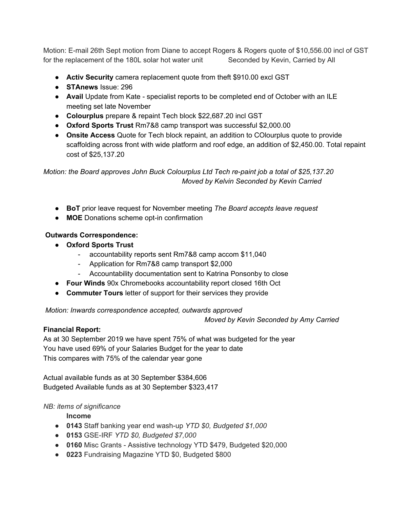Motion: E-mail 26th Sept motion from Diane to accept Rogers & Rogers quote of \$10,556.00 incl of GST for the replacement of the 180L solar hot water unit Seconded by Kevin, Carried by All

- **● Activ Security** camera replacement quote from theft \$910.00 excl GST
- **STAnews** Issue: 296
- **Avail** Update from Kate specialist reports to be completed end of October with an ILE meeting set late November
- **● Colourplus** prepare & repaint Tech block \$22,687.20 incl GST
- **● Oxford Sports Trust** Rm7&8 camp transport was successful \$2,000.00
- **● Onsite Access** Quote for Tech block repaint, an addition to COlourplus quote to provide scaffolding across front with wide platform and roof edge, an addition of \$2,450.00. Total repaint cost of \$25,137.20

*Motion: the Board approves John Buck Colourplus Ltd Tech re-paint job a total of \$25,137.20 Moved by Kelvin Seconded by Kevin Carried*

- **● BoT** prior leave request for November meeting *The Board accepts leave request*
- **MOE** Donations scheme opt-in confirmation

#### **Outwards Correspondence:**

- **● Oxford Sports Trust**
	- accountability reports sent Rm7&8 camp accom \$11,040
	- Application for Rm7&8 camp transport \$2,000
	- Accountability documentation sent to Katrina Ponsonby to close
- **● Four Winds** 90x Chromebooks accountability report closed 16th Oct
- **● Commuter Tours** letter of support for their services they provide

*Motion: Inwards correspondence accepted, outwards approved*

*Moved by Kevin Seconded by Amy Carried*

### **Financial Report:**

As at 30 September 2019 we have spent 75% of what was budgeted for the year You have used 69% of your Salaries Budget for the year to date This compares with 75% of the calendar year gone

Actual available funds as at 30 September \$384,606 Budgeted Available funds as at 30 September \$323,417

### *NB: items of significance*

**Income**

- **● 0143** Staff banking year end wash-up *YTD \$0, Budgeted \$1,000*
- **● 0153** GSE-IRF *YTD \$0, Budgeted \$7,000*
- **● 0160** Misc Grants Assistive technology YTD \$479, Budgeted \$20,000
- **● 0223** Fundraising Magazine YTD \$0, Budgeted \$800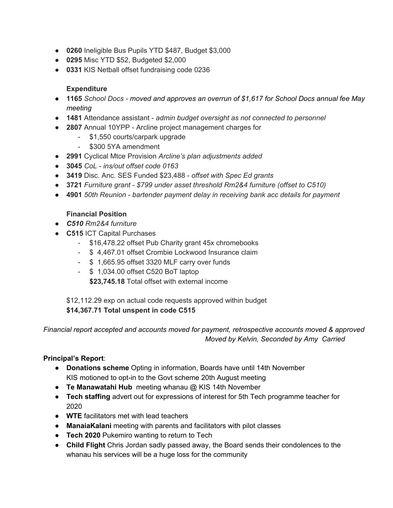- **● 0260** Ineligible Bus Pupils YTD \$487, Budget \$3,000
- **● 0295** Misc YTD \$52, Budgeted \$2,000
- **● 0331** KIS Netball offset fundraising code 0236

## **Expenditure**

- *●* **1165** *School Docs - moved and approves an overrun of \$1,617 for School Docs annual fee May meeting*
- **● 1481** Attendance assistant *admin budget oversight as not connected to personnel*
- **● 2807** Annual 10YPP Arcline project management charges for
	- \$1,550 courts/carpark upgrade
	- \$300 5YA amendment
- **● 2991** Cyclical Mtce Provision *Arcline's plan adjustments added*
- *●* **3045** *CoL - ins/out offset code 0163*
- **3419** Disc. Anc. SES Funded \$23,488 *offset with Spec Ed grants*
- *●* **3721** *Furniture grant - \$799 under asset threshold Rm2&4 furniture (offset to C510)*
- *●* **4901** *50th Reunion - bartender payment delay in receiving bank acc details for payment*

## **Financial Position**

- *● C510 Rm2&4 furniture*
- **● C515** ICT Capital Purchases
	- \$16,478.22 offset Pub Charity grant 45x chromebooks
	- \$ 4,467.01 offset Crombie Lockwood Insurance claim
	- \$ 1,665.95 offset 3320 MLF carry over funds
	- \$ 1,034.00 offset C520 BoT laptop

**\$23,745.18** Total offset with external income

\$12,112.29 exp on actual code requests approved within budget **\$14,367.71 Total unspent in code C515**

*Financial report accepted and accounts moved for payment, retrospective accounts moved & approved Moved by Kelvin, Seconded by Amy Carried*

# **Principal's Report**:

- **Donations scheme** Opting in information, Boards have until 14th November KIS motioned to opt-in to the Govt scheme 20th August meeting
- **Te Manawatahi Hub** meeting whanau @ KIS 14th November
- **Tech staffing** advert out for expressions of interest for 5th Tech programme teacher for 2020
- **WTE** facilitators met with lead teachers
- **ManaiaKalani** meeting with parents and facilitators with pilot classes
- **● Tech 2020** Pukemiro wanting to return to Tech
- **● Child Flight** Chris Jordan sadly passed away, the Board sends their condolences to the whanau his services will be a huge loss for the community